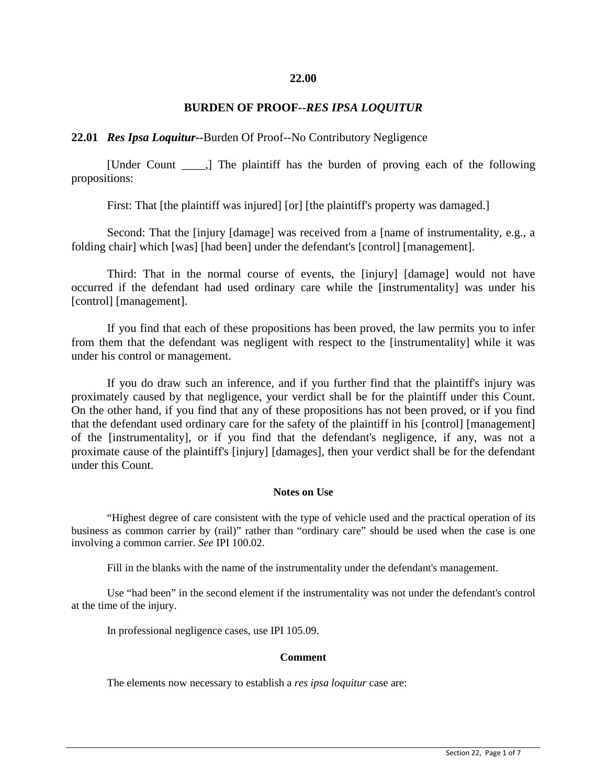## **22.00**

## **BURDEN OF PROOF--***RES IPSA LOQUITUR*

### **22.01** *Res Ipsa Loquitur***--**Burden Of Proof--No Contributory Negligence

[Under Count \_\_\_\_,] The plaintiff has the burden of proving each of the following propositions:

First: That [the plaintiff was injured] [or] [the plaintiff's property was damaged.]

Second: That the [injury [damage] was received from a [name of instrumentality, e.g., a folding chair] which [was] [had been] under the defendant's [control] [management].

Third: That in the normal course of events, the [injury] [damage] would not have occurred if the defendant had used ordinary care while the [instrumentality] was under his [control] [management].

If you find that each of these propositions has been proved, the law permits you to infer from them that the defendant was negligent with respect to the [instrumentality] while it was under his control or management.

If you do draw such an inference, and if you further find that the plaintiff's injury was proximately caused by that negligence, your verdict shall be for the plaintiff under this Count. On the other hand, if you find that any of these propositions has not been proved, or if you find that the defendant used ordinary care for the safety of the plaintiff in his [control] [management] of the [instrumentality], or if you find that the defendant's negligence, if any, was not a proximate cause of the plaintiff's [injury] [damages], then your verdict shall be for the defendant under this Count.

# **Notes on Use**

"Highest degree of care consistent with the type of vehicle used and the practical operation of its business as common carrier by (rail)" rather than "ordinary care" should be used when the case is one involving a common carrier. *See* IPI 100.02.

Fill in the blanks with the name of the instrumentality under the defendant's management.

Use "had been" in the second element if the instrumentality was not under the defendant's control at the time of the injury.

In professional negligence cases, use IPI 105.09.

#### **Comment**

The elements now necessary to establish a *res ipsa loquitur* case are: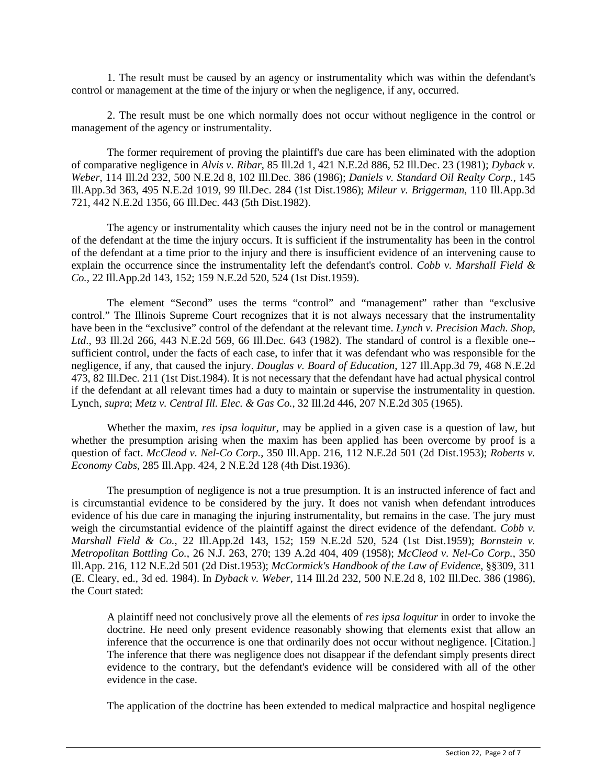1. The result must be caused by an agency or instrumentality which was within the defendant's control or management at the time of the injury or when the negligence, if any, occurred.

2. The result must be one which normally does not occur without negligence in the control or management of the agency or instrumentality.

The former requirement of proving the plaintiff's due care has been eliminated with the adoption of comparative negligence in *Alvis v. Ribar*, 85 Ill.2d 1, 421 N.E.2d 886, 52 Ill.Dec. 23 (1981); *Dyback v. Weber*, 114 Ill.2d 232, 500 N.E.2d 8, 102 Ill.Dec. 386 (1986); *Daniels v. Standard Oil Realty Corp.*, 145 Ill.App.3d 363, 495 N.E.2d 1019, 99 Ill.Dec. 284 (1st Dist.1986); *Mileur v. Briggerman*, 110 Ill.App.3d 721, 442 N.E.2d 1356, 66 Ill.Dec. 443 (5th Dist.1982).

The agency or instrumentality which causes the injury need not be in the control or management of the defendant at the time the injury occurs. It is sufficient if the instrumentality has been in the control of the defendant at a time prior to the injury and there is insufficient evidence of an intervening cause to explain the occurrence since the instrumentality left the defendant's control. *Cobb v. Marshall Field & Co.,* 22 Ill.App.2d 143, 152; 159 N.E.2d 520, 524 (1st Dist.1959).

The element "Second" uses the terms "control" and "management" rather than "exclusive control." The Illinois Supreme Court recognizes that it is not always necessary that the instrumentality have been in the "exclusive" control of the defendant at the relevant time. *Lynch v. Precision Mach. Shop, Ltd*., 93 Ill.2d 266, 443 N.E.2d 569, 66 Ill.Dec. 643 (1982). The standard of control is a flexible one- sufficient control, under the facts of each case, to infer that it was defendant who was responsible for the negligence, if any, that caused the injury. *Douglas v. Board of Education*, 127 Ill.App.3d 79, 468 N.E.2d 473, 82 Ill.Dec. 211 (1st Dist.1984). It is not necessary that the defendant have had actual physical control if the defendant at all relevant times had a duty to maintain or supervise the instrumentality in question. Lynch, *supra*; *Metz v. Central Ill. Elec. & Gas Co.*, 32 Ill.2d 446, 207 N.E.2d 305 (1965).

Whether the maxim, *res ipsa loquitur*, may be applied in a given case is a question of law, but whether the presumption arising when the maxim has been applied has been overcome by proof is a question of fact. *McCleod v. Nel-Co Corp.*, 350 Ill.App. 216, 112 N.E.2d 501 (2d Dist.1953); *Roberts v. Economy Cabs*, 285 Ill.App. 424, 2 N.E.2d 128 (4th Dist.1936).

The presumption of negligence is not a true presumption. It is an instructed inference of fact and is circumstantial evidence to be considered by the jury. It does not vanish when defendant introduces evidence of his due care in managing the injuring instrumentality, but remains in the case. The jury must weigh the circumstantial evidence of the plaintiff against the direct evidence of the defendant. *Cobb v. Marshall Field & Co.*, 22 Ill.App.2d 143, 152; 159 N.E.2d 520, 524 (1st Dist.1959); *Bornstein v. Metropolitan Bottling Co.*, 26 N.J. 263, 270; 139 A.2d 404, 409 (1958); *McCleod v. Nel-Co Corp.*, 350 Ill.App. 216, 112 N.E.2d 501 (2d Dist.1953); *McCormick's Handbook of the Law of Evidence*, §§309, 311 (E. Cleary, ed., 3d ed. 1984). In *Dyback v. Weber*, 114 Ill.2d 232, 500 N.E.2d 8, 102 Ill.Dec. 386 (1986), the Court stated:

A plaintiff need not conclusively prove all the elements of *res ipsa loquitur* in order to invoke the doctrine. He need only present evidence reasonably showing that elements exist that allow an inference that the occurrence is one that ordinarily does not occur without negligence. [Citation.] The inference that there was negligence does not disappear if the defendant simply presents direct evidence to the contrary, but the defendant's evidence will be considered with all of the other evidence in the case.

The application of the doctrine has been extended to medical malpractice and hospital negligence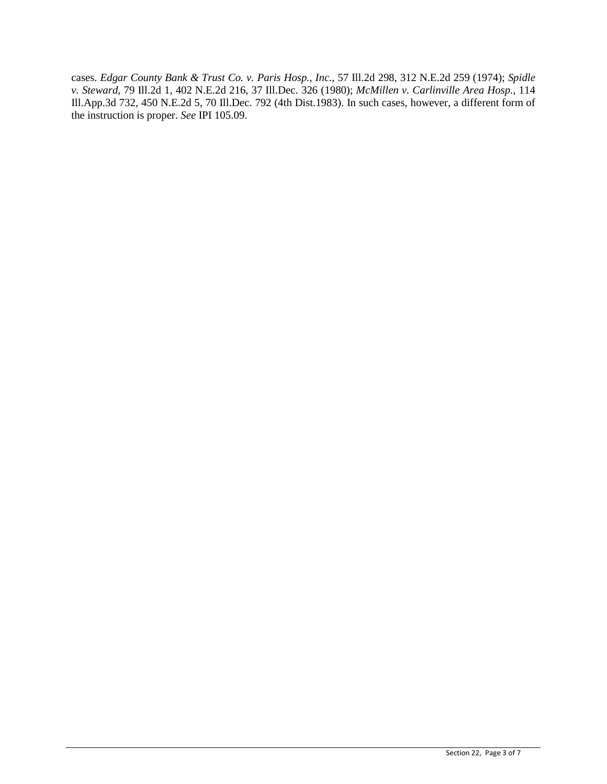cases. *Edgar County Bank & Trust Co. v. Paris Hosp., Inc.*, 57 Ill.2d 298, 312 N.E.2d 259 (1974); *Spidle v. Steward*, 79 Ill.2d 1, 402 N.E.2d 216, 37 Ill.Dec. 326 (1980); *McMillen v. Carlinville Area Hosp.*, 114 Ill.App.3d 732, 450 N.E.2d 5, 70 Ill.Dec. 792 (4th Dist.1983). In such cases, however, a different form of the instruction is proper. *See* IPI 105.09.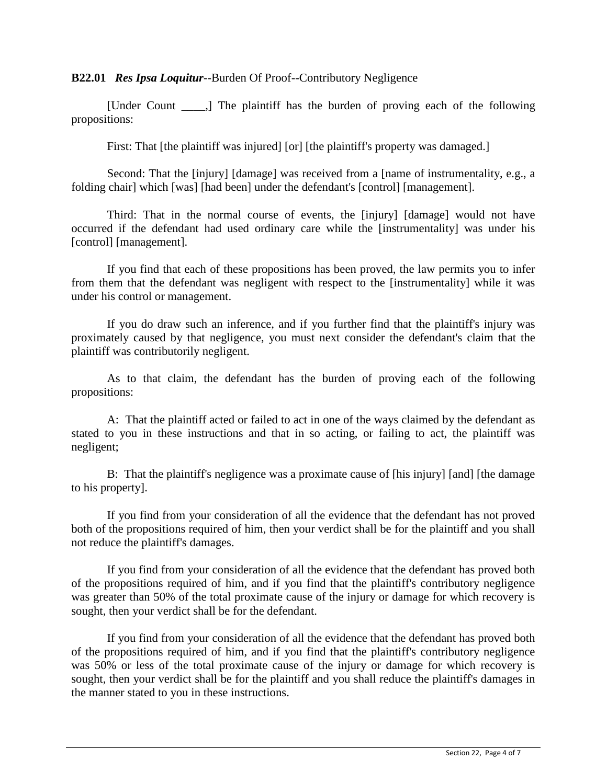**B22.01** *Res Ipsa Loquitur*--Burden Of Proof--Contributory Negligence

[Under Count \_\_\_\_,] The plaintiff has the burden of proving each of the following propositions:

First: That [the plaintiff was injured] [or] [the plaintiff's property was damaged.]

Second: That the [injury] [damage] was received from a [name of instrumentality, e.g., a folding chair] which [was] [had been] under the defendant's [control] [management].

Third: That in the normal course of events, the [injury] [damage] would not have occurred if the defendant had used ordinary care while the [instrumentality] was under his [control] [management].

If you find that each of these propositions has been proved, the law permits you to infer from them that the defendant was negligent with respect to the [instrumentality] while it was under his control or management.

If you do draw such an inference, and if you further find that the plaintiff's injury was proximately caused by that negligence, you must next consider the defendant's claim that the plaintiff was contributorily negligent.

As to that claim, the defendant has the burden of proving each of the following propositions:

A: That the plaintiff acted or failed to act in one of the ways claimed by the defendant as stated to you in these instructions and that in so acting, or failing to act, the plaintiff was negligent;

B: That the plaintiff's negligence was a proximate cause of [his injury] [and] [the damage to his property].

If you find from your consideration of all the evidence that the defendant has not proved both of the propositions required of him, then your verdict shall be for the plaintiff and you shall not reduce the plaintiff's damages.

If you find from your consideration of all the evidence that the defendant has proved both of the propositions required of him, and if you find that the plaintiff's contributory negligence was greater than 50% of the total proximate cause of the injury or damage for which recovery is sought, then your verdict shall be for the defendant.

If you find from your consideration of all the evidence that the defendant has proved both of the propositions required of him, and if you find that the plaintiff's contributory negligence was 50% or less of the total proximate cause of the injury or damage for which recovery is sought, then your verdict shall be for the plaintiff and you shall reduce the plaintiff's damages in the manner stated to you in these instructions.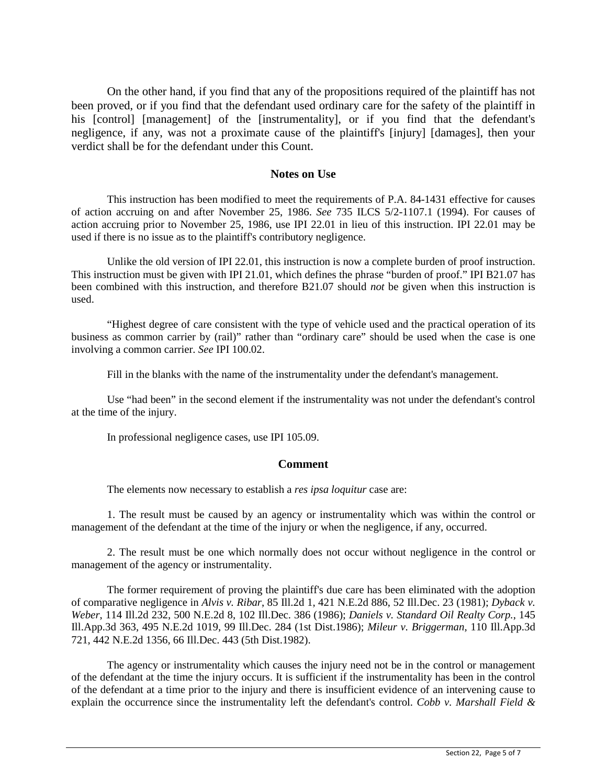On the other hand, if you find that any of the propositions required of the plaintiff has not been proved, or if you find that the defendant used ordinary care for the safety of the plaintiff in his [control] [management] of the [instrumentality], or if you find that the defendant's negligence, if any, was not a proximate cause of the plaintiff's [injury] [damages], then your verdict shall be for the defendant under this Count.

# **Notes on Use**

This instruction has been modified to meet the requirements of P.A. 84-1431 effective for causes of action accruing on and after November 25, 1986. *See* 735 ILCS 5/2-1107.1 (1994). For causes of action accruing prior to November 25, 1986, use IPI 22.01 in lieu of this instruction. IPI 22.01 may be used if there is no issue as to the plaintiff's contributory negligence.

Unlike the old version of IPI 22.01, this instruction is now a complete burden of proof instruction. This instruction must be given with IPI 21.01, which defines the phrase "burden of proof." IPI B21.07 has been combined with this instruction, and therefore B21.07 should *not* be given when this instruction is used.

"Highest degree of care consistent with the type of vehicle used and the practical operation of its business as common carrier by (rail)" rather than "ordinary care" should be used when the case is one involving a common carrier. *See* IPI 100.02.

Fill in the blanks with the name of the instrumentality under the defendant's management.

Use "had been" in the second element if the instrumentality was not under the defendant's control at the time of the injury.

In professional negligence cases, use IPI 105.09.

# **Comment**

The elements now necessary to establish a *res ipsa loquitur* case are:

1. The result must be caused by an agency or instrumentality which was within the control or management of the defendant at the time of the injury or when the negligence, if any, occurred.

2. The result must be one which normally does not occur without negligence in the control or management of the agency or instrumentality.

The former requirement of proving the plaintiff's due care has been eliminated with the adoption of comparative negligence in *Alvis v. Ribar*, 85 Ill.2d 1, 421 N.E.2d 886, 52 Ill.Dec. 23 (1981); *Dyback v. Weber*, 114 Ill.2d 232, 500 N.E.2d 8, 102 Ill.Dec. 386 (1986); *Daniels v. Standard Oil Realty Corp.*, 145 Ill.App.3d 363, 495 N.E.2d 1019, 99 Ill.Dec. 284 (1st Dist.1986); *Mileur v. Briggerman*, 110 Ill.App.3d 721, 442 N.E.2d 1356, 66 Ill.Dec. 443 (5th Dist.1982).

The agency or instrumentality which causes the injury need not be in the control or management of the defendant at the time the injury occurs. It is sufficient if the instrumentality has been in the control of the defendant at a time prior to the injury and there is insufficient evidence of an intervening cause to explain the occurrence since the instrumentality left the defendant's control. *Cobb v. Marshall Field &*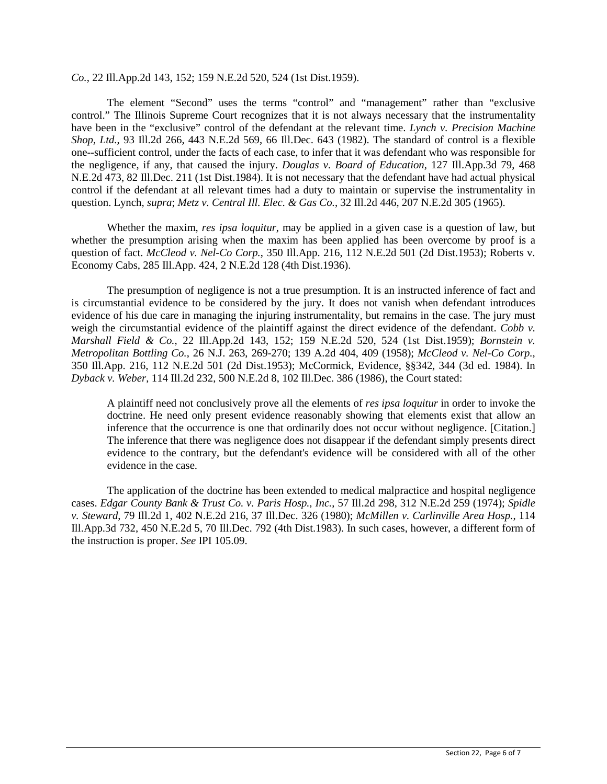*Co.*, 22 Ill.App.2d 143, 152; 159 N.E.2d 520, 524 (1st Dist.1959).

The element "Second" uses the terms "control" and "management" rather than "exclusive control." The Illinois Supreme Court recognizes that it is not always necessary that the instrumentality have been in the "exclusive" control of the defendant at the relevant time. *Lynch v. Precision Machine Shop, Ltd.*, 93 Ill.2d 266, 443 N.E.2d 569, 66 Ill.Dec. 643 (1982). The standard of control is a flexible one--sufficient control, under the facts of each case, to infer that it was defendant who was responsible for the negligence, if any, that caused the injury. *Douglas v. Board of Education*, 127 Ill.App.3d 79, 468 N.E.2d 473, 82 Ill.Dec. 211 (1st Dist.1984). It is not necessary that the defendant have had actual physical control if the defendant at all relevant times had a duty to maintain or supervise the instrumentality in question. Lynch, *supra*; *Metz v. Central Ill. Elec. & Gas Co.*, 32 Ill.2d 446, 207 N.E.2d 305 (1965).

Whether the maxim, *res ipsa loquitur*, may be applied in a given case is a question of law, but whether the presumption arising when the maxim has been applied has been overcome by proof is a question of fact. *McCleod v. Nel-Co Corp.*, 350 Ill.App. 216, 112 N.E.2d 501 (2d Dist.1953); Roberts v. Economy Cabs, 285 Ill.App. 424, 2 N.E.2d 128 (4th Dist.1936).

The presumption of negligence is not a true presumption. It is an instructed inference of fact and is circumstantial evidence to be considered by the jury. It does not vanish when defendant introduces evidence of his due care in managing the injuring instrumentality, but remains in the case. The jury must weigh the circumstantial evidence of the plaintiff against the direct evidence of the defendant. *Cobb v. Marshall Field & Co.*, 22 Ill.App.2d 143, 152; 159 N.E.2d 520, 524 (1st Dist.1959); *Bornstein v. Metropolitan Bottling Co.*, 26 N.J. 263, 269-270; 139 A.2d 404, 409 (1958); *McCleod v. Nel-Co Corp.*, 350 Ill.App. 216, 112 N.E.2d 501 (2d Dist.1953); McCormick, Evidence, §§342, 344 (3d ed. 1984). In *Dyback v. Weber*, 114 Ill.2d 232, 500 N.E.2d 8, 102 Ill.Dec. 386 (1986), the Court stated:

A plaintiff need not conclusively prove all the elements of *res ipsa loquitur* in order to invoke the doctrine. He need only present evidence reasonably showing that elements exist that allow an inference that the occurrence is one that ordinarily does not occur without negligence. [Citation.] The inference that there was negligence does not disappear if the defendant simply presents direct evidence to the contrary, but the defendant's evidence will be considered with all of the other evidence in the case.

The application of the doctrine has been extended to medical malpractice and hospital negligence cases. *Edgar County Bank & Trust Co. v. Paris Hosp., Inc.*, 57 Ill.2d 298, 312 N.E.2d 259 (1974); *Spidle v. Steward*, 79 Ill.2d 1, 402 N.E.2d 216, 37 Ill.Dec. 326 (1980); *McMillen v. Carlinville Area Hosp.*, 114 Ill.App.3d 732, 450 N.E.2d 5, 70 Ill.Dec. 792 (4th Dist.1983). In such cases, however, a different form of the instruction is proper. *See* IPI 105.09.